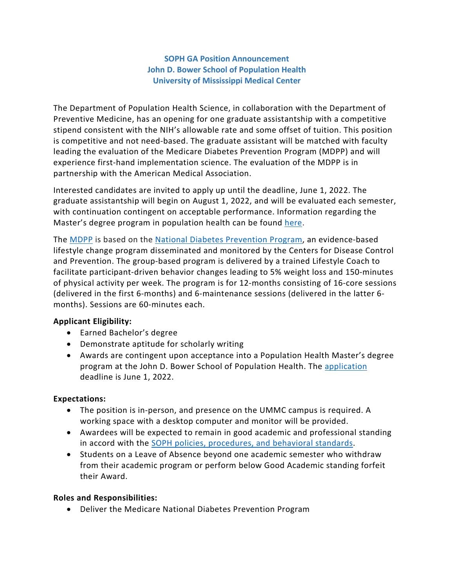# **SOPH GA Position Announcement John D. Bower School of Population Health University of Mississippi Medical Center**

The Department of Population Health Science, in collaboration with the Department of Preventive Medicine, has an opening for one graduate assistantship with a competitive stipend consistent with the NIH's allowable rate and some offset of tuition. This position is competitive and not need-based. The graduate assistant will be matched with faculty leading the evaluation of the Medicare Diabetes Prevention Program (MDPP) and will experience first-hand implementation science. The evaluation of the MDPP is in partnership with the American Medical Association.

Interested candidates are invited to apply up until the deadline, June 1, 2022. The graduate assistantship will begin on August 1, 2022, and will be evaluated each semester, with continuation contingent on acceptable performance. Information regarding the Master's degree program in population health can be found [here.](https://www.umc.edu/SoPH/Departments-and-Faculty/Population-Health-Science/Education/MS-Population-Health-Science/MS-in-Population-Health-Science.html)

The [MDPP](https://innovation.cms.gov/innovation-models/medicare-diabetes-prevention-program) is based on the [National Diabetes Prevention Program,](https://www.cdc.gov/diabetes/prevention/index.html) an evidence-based lifestyle change program disseminated and monitored by the Centers for Disease Control and Prevention. The group-based program is delivered by a trained Lifestyle Coach to facilitate participant-driven behavior changes leading to 5% weight loss and 150-minutes of physical activity per week. The program is for 12-months consisting of 16-core sessions (delivered in the first 6-months) and 6-maintenance sessions (delivered in the latter 6 months). Sessions are 60-minutes each.

# **Applicant Eligibility:**

- Earned Bachelor's degree
- Demonstrate aptitude for scholarly writing
- Awards are contingent upon acceptance into a Population Health Master's degree program at the John D. Bower School of Population Health. The [application](https://www.umc.edu/SoPH/Prospective-Students/Admission%20Requirements,%20Deadlines%20and%20Procedures.html) deadline is June 1, 2022.

# **Expectations:**

- The position is in-person, and presence on the UMMC campus is required. A working space with a desktop computer and monitor will be provided.
- Awardees will be expected to remain in good academic and professional standing in accord with the [SOPH policies, procedures,](https://www.umc.edu/SoPH/Departments-and-Faculty/Faculty%20Policies%20and%20Procedures/Policies-and-Procedures.html) and behavioral standards.
- Students on a Leave of Absence beyond one academic semester who withdraw from their academic program or perform below Good Academic standing forfeit their Award.

# **Roles and Responsibilities:**

• Deliver the Medicare National Diabetes Prevention Program